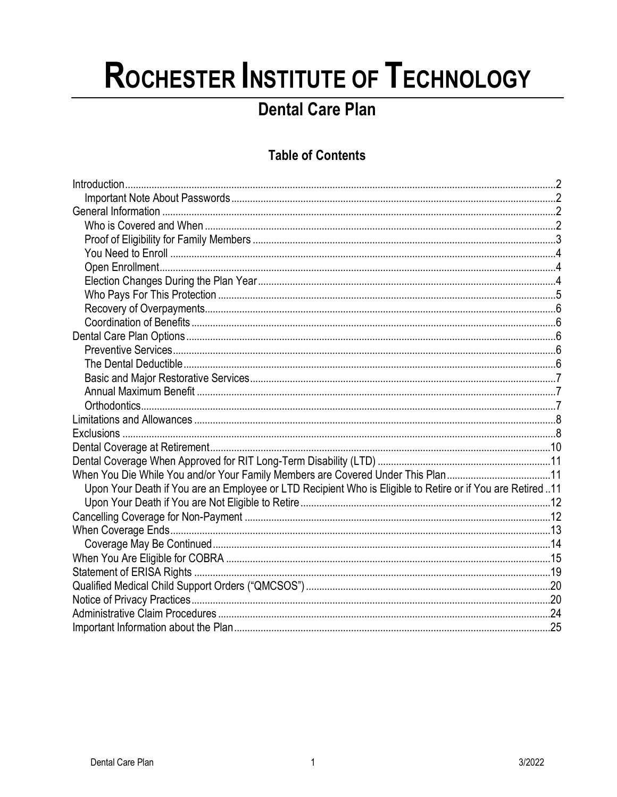# ROCHESTER INSTITUTE OF TECHNOLOGY

# **Dental Care Plan**

# **Table of Contents**

| When You Die While You and/or Your Family Members are Covered Under This Plan11                           |  |
|-----------------------------------------------------------------------------------------------------------|--|
| Upon Your Death if You are an Employee or LTD Recipient Who is Eligible to Retire or if You are Retired11 |  |
|                                                                                                           |  |
|                                                                                                           |  |
|                                                                                                           |  |
|                                                                                                           |  |
|                                                                                                           |  |
|                                                                                                           |  |
|                                                                                                           |  |
|                                                                                                           |  |
|                                                                                                           |  |
|                                                                                                           |  |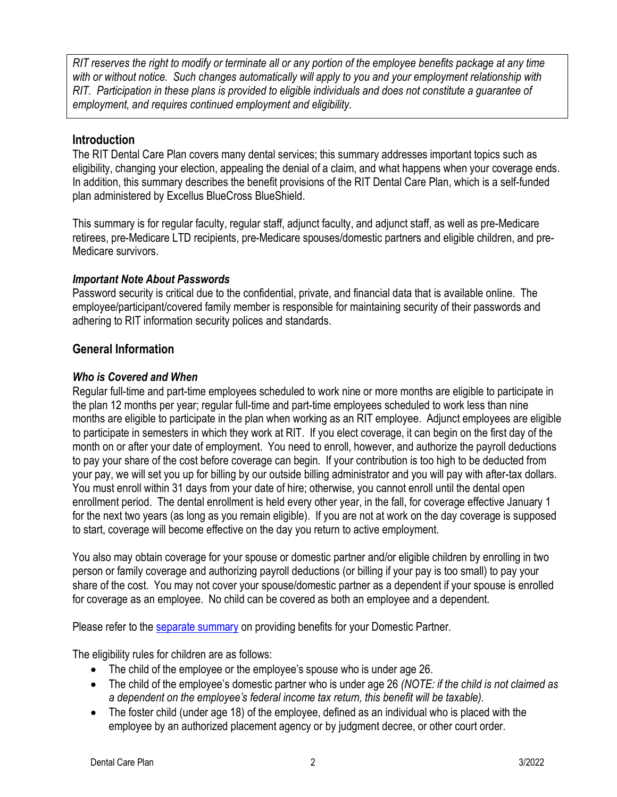*RIT reserves the right to modify or terminate all or any portion of the employee benefits package at any time with or without notice. Such changes automatically will apply to you and your employment relationship with RIT. Participation in these plans is provided to eligible individuals and does not constitute a guarantee of employment, and requires continued employment and eligibility.*

# <span id="page-1-0"></span>**Introduction**

The RIT Dental Care Plan covers many dental services; this summary addresses important topics such as eligibility, changing your election, appealing the denial of a claim, and what happens when your coverage ends. In addition, this summary describes the benefit provisions of the RIT Dental Care Plan, which is a self-funded plan administered by Excellus BlueCross BlueShield.

This summary is for regular faculty, regular staff, adjunct faculty, and adjunct staff, as well as pre-Medicare retirees, pre-Medicare LTD recipients, pre-Medicare spouses/domestic partners and eligible children, and pre-Medicare survivors.

# <span id="page-1-1"></span>*Important Note About Passwords*

Password security is critical due to the confidential, private, and financial data that is available online. The employee/participant/covered family member is responsible for maintaining security of their passwords and adhering to RIT information security polices and standards.

# <span id="page-1-2"></span>**General Information**

# <span id="page-1-3"></span>*Who is Covered and When*

Regular full-time and part-time employees scheduled to work nine or more months are eligible to participate in the plan 12 months per year; regular full-time and part-time employees scheduled to work less than nine months are eligible to participate in the plan when working as an RIT employee. Adjunct employees are eligible to participate in semesters in which they work at RIT. If you elect coverage, it can begin on the first day of the month on or after your date of employment. You need to enroll, however, and authorize the payroll deductions to pay your share of the cost before coverage can begin. If your contribution is too high to be deducted from your pay, we will set you up for billing by our outside billing administrator and you will pay with after-tax dollars. You must enroll within 31 days from your date of hire; otherwise, you cannot enroll until the dental open enrollment period. The dental enrollment is held every other year, in the fall, for coverage effective January 1 for the next two years (as long as you remain eligible). If you are not at work on the day coverage is supposed to start, coverage will become effective on the day you return to active employment.

You also may obtain coverage for your spouse or domestic partner and/or eligible children by enrolling in two person or family coverage and authorizing payroll deductions (or billing if your pay is too small) to pay your share of the cost. You may not cover your spouse/domestic partner as a dependent if your spouse is enrolled for coverage as an employee. No child can be covered as both an employee and a dependent.

Please refer to the [separate summary](https://www.rit.edu/fa/humanresources/content/covering-your-domestic-partner) on providing benefits for your Domestic Partner.

The eligibility rules for children are as follows:

- The child of the employee or the employee's spouse who is under age 26.
- The child of the employee's domestic partner who is under age 26 *(NOTE: if the child is not claimed as a dependent on the employee's federal income tax return, this benefit will be taxable).*
- The foster child (under age 18) of the employee, defined as an individual who is placed with the employee by an authorized placement agency or by judgment decree, or other court order.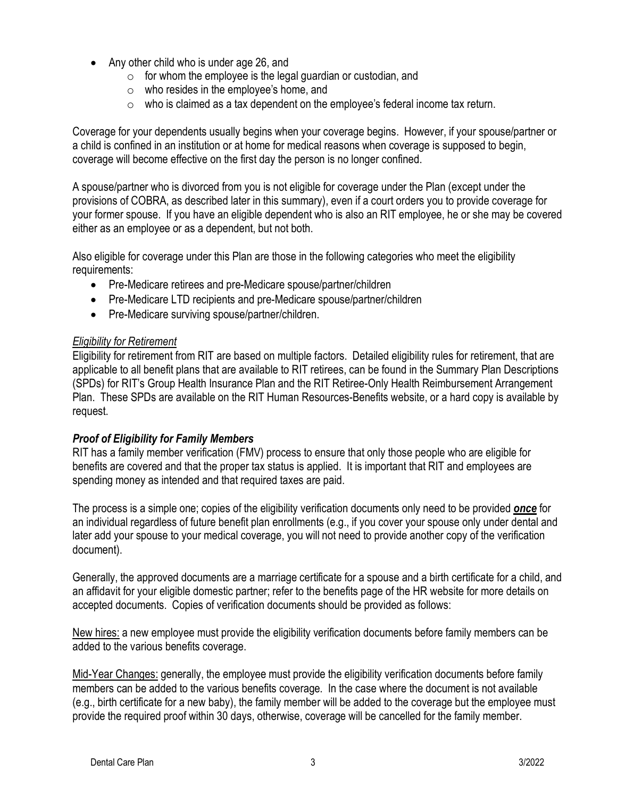- Any other child who is under age 26, and
	- $\circ$  for whom the employee is the legal guardian or custodian, and
	- o who resides in the employee's home, and
	- $\circ$  who is claimed as a tax dependent on the employee's federal income tax return.

Coverage for your dependents usually begins when your coverage begins. However, if your spouse/partner or a child is confined in an institution or at home for medical reasons when coverage is supposed to begin, coverage will become effective on the first day the person is no longer confined.

A spouse/partner who is divorced from you is not eligible for coverage under the Plan (except under the provisions of COBRA, as described later in this summary), even if a court orders you to provide coverage for your former spouse. If you have an eligible dependent who is also an RIT employee, he or she may be covered either as an employee or as a dependent, but not both.

Also eligible for coverage under this Plan are those in the following categories who meet the eligibility requirements:

- Pre-Medicare retirees and pre-Medicare spouse/partner/children
- Pre-Medicare LTD recipients and pre-Medicare spouse/partner/children
- Pre-Medicare surviving spouse/partner/children.

# *Eligibility for Retirement*

Eligibility for retirement from RIT are based on multiple factors. Detailed eligibility rules for retirement, that are applicable to all benefit plans that are available to RIT retirees, can be found in the Summary Plan Descriptions (SPDs) for RIT's Group Health Insurance Plan and the RIT Retiree-Only Health Reimbursement Arrangement Plan. These SPDs are available on the RIT Human Resources-Benefits website, or a hard copy is available by request.

# <span id="page-2-0"></span>*Proof of Eligibility for Family Members*

RIT has a family member verification (FMV) process to ensure that only those people who are eligible for benefits are covered and that the proper tax status is applied. It is important that RIT and employees are spending money as intended and that required taxes are paid.

The process is a simple one; copies of the eligibility verification documents only need to be provided *once* for an individual regardless of future benefit plan enrollments (e.g., if you cover your spouse only under dental and later add your spouse to your medical coverage, you will not need to provide another copy of the verification document).

Generally, the approved documents are a marriage certificate for a spouse and a birth certificate for a child, and an affidavit for your eligible domestic partner; refer to the benefits page of the HR website for more details on accepted documents. Copies of verification documents should be provided as follows:

New hires: a new employee must provide the eligibility verification documents before family members can be added to the various benefits coverage.

Mid-Year Changes: generally, the employee must provide the eligibility verification documents before family members can be added to the various benefits coverage. In the case where the document is not available (e.g., birth certificate for a new baby), the family member will be added to the coverage but the employee must provide the required proof within 30 days, otherwise, coverage will be cancelled for the family member.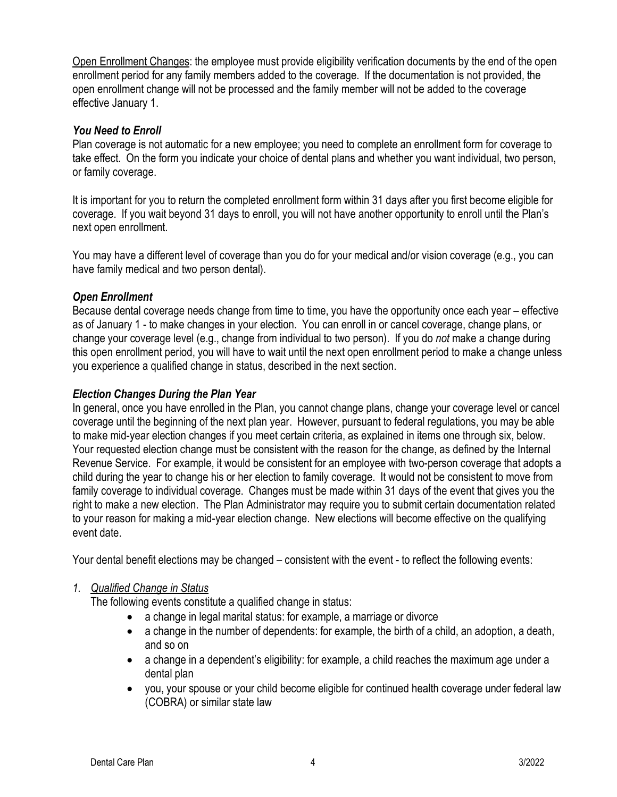Open Enrollment Changes: the employee must provide eligibility verification documents by the end of the open enrollment period for any family members added to the coverage. If the documentation is not provided, the open enrollment change will not be processed and the family member will not be added to the coverage effective January 1.

#### <span id="page-3-0"></span>*You Need to Enroll*

Plan coverage is not automatic for a new employee; you need to complete an enrollment form for coverage to take effect. On the form you indicate your choice of dental plans and whether you want individual, two person, or family coverage.

It is important for you to return the completed enrollment form within 31 days after you first become eligible for coverage. If you wait beyond 31 days to enroll, you will not have another opportunity to enroll until the Plan's next open enrollment.

You may have a different level of coverage than you do for your medical and/or vision coverage (e.g., you can have family medical and two person dental).

#### <span id="page-3-1"></span>*Open Enrollment*

Because dental coverage needs change from time to time, you have the opportunity once each year – effective as of January 1 - to make changes in your election. You can enroll in or cancel coverage, change plans, or change your coverage level (e.g., change from individual to two person). If you do *not* make a change during this open enrollment period, you will have to wait until the next open enrollment period to make a change unless you experience a qualified change in status, described in the next section.

#### <span id="page-3-2"></span>*Election Changes During the Plan Year*

In general, once you have enrolled in the Plan, you cannot change plans, change your coverage level or cancel coverage until the beginning of the next plan year. However, pursuant to federal regulations, you may be able to make mid-year election changes if you meet certain criteria, as explained in items one through six, below. Your requested election change must be consistent with the reason for the change, as defined by the Internal Revenue Service. For example, it would be consistent for an employee with two-person coverage that adopts a child during the year to change his or her election to family coverage. It would not be consistent to move from family coverage to individual coverage. Changes must be made within 31 days of the event that gives you the right to make a new election. The Plan Administrator may require you to submit certain documentation related to your reason for making a mid-year election change. New elections will become effective on the qualifying event date.

Your dental benefit elections may be changed – consistent with the event - to reflect the following events:

#### *1. Qualified Change in Status*

The following events constitute a qualified change in status:

- a change in legal marital status: for example, a marriage or divorce
- a change in the number of dependents: for example, the birth of a child, an adoption, a death, and so on
- a change in a dependent's eligibility: for example, a child reaches the maximum age under a dental plan
- you, your spouse or your child become eligible for continued health coverage under federal law (COBRA) or similar state law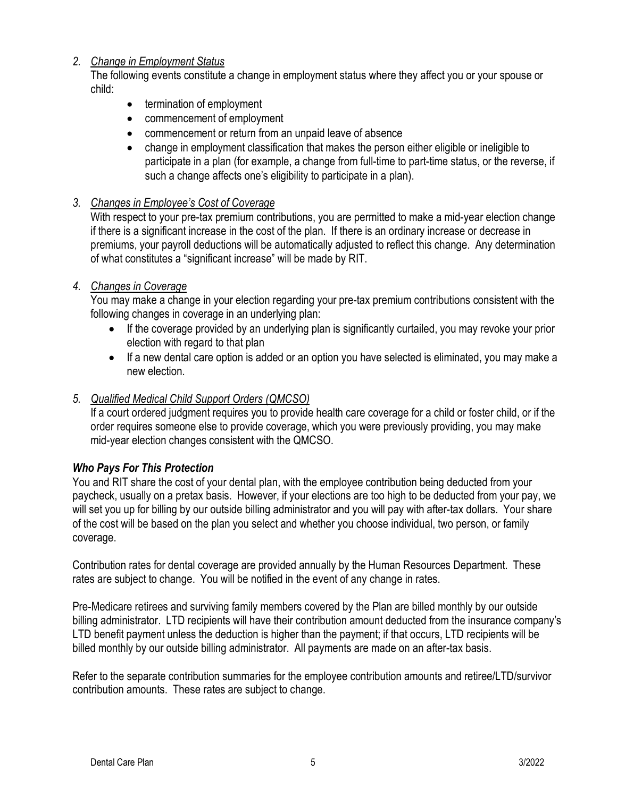# *2. Change in Employment Status*

The following events constitute a change in employment status where they affect you or your spouse or child:

- termination of employment
- commencement of employment
- commencement or return from an unpaid leave of absence
- change in employment classification that makes the person either eligible or ineligible to participate in a plan (for example, a change from full-time to part-time status, or the reverse, if such a change affects one's eligibility to participate in a plan).

# *3. Changes in Employee's Cost of Coverage*

With respect to your pre-tax premium contributions, you are permitted to make a mid-year election change if there is a significant increase in the cost of the plan. If there is an ordinary increase or decrease in premiums, your payroll deductions will be automatically adjusted to reflect this change. Any determination of what constitutes a "significant increase" will be made by RIT.

# *4. Changes in Coverage*

You may make a change in your election regarding your pre-tax premium contributions consistent with the following changes in coverage in an underlying plan:

- If the coverage provided by an underlying plan is significantly curtailed, you may revoke your prior election with regard to that plan
- If a new dental care option is added or an option you have selected is eliminated, you may make a new election.

# *5. Qualified Medical Child Support Orders (QMCSO)*

If a court ordered judgment requires you to provide health care coverage for a child or foster child, or if the order requires someone else to provide coverage, which you were previously providing, you may make mid-year election changes consistent with the QMCSO.

# <span id="page-4-0"></span>*Who Pays For This Protection*

You and RIT share the cost of your dental plan, with the employee contribution being deducted from your paycheck, usually on a pretax basis. However, if your elections are too high to be deducted from your pay, we will set you up for billing by our outside billing administrator and you will pay with after-tax dollars. Your share of the cost will be based on the plan you select and whether you choose individual, two person, or family coverage.

Contribution rates for dental coverage are provided annually by the Human Resources Department. These rates are subject to change. You will be notified in the event of any change in rates.

Pre-Medicare retirees and surviving family members covered by the Plan are billed monthly by our outside billing administrator. LTD recipients will have their contribution amount deducted from the insurance company's LTD benefit payment unless the deduction is higher than the payment; if that occurs, LTD recipients will be billed monthly by our outside billing administrator. All payments are made on an after-tax basis.

Refer to the separate contribution summaries for the employee contribution amounts and retiree/LTD/survivor contribution amounts. These rates are subject to change.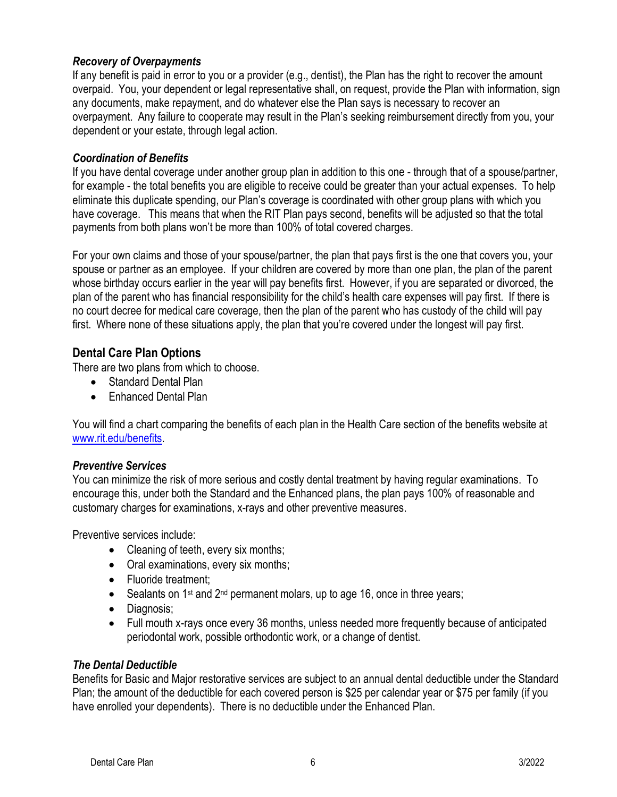# <span id="page-5-0"></span>*Recovery of Overpayments*

If any benefit is paid in error to you or a provider (e.g., dentist), the Plan has the right to recover the amount overpaid. You, your dependent or legal representative shall, on request, provide the Plan with information, sign any documents, make repayment, and do whatever else the Plan says is necessary to recover an overpayment. Any failure to cooperate may result in the Plan's seeking reimbursement directly from you, your dependent or your estate, through legal action.

# <span id="page-5-1"></span>*Coordination of Benefits*

If you have dental coverage under another group plan in addition to this one - through that of a spouse/partner, for example - the total benefits you are eligible to receive could be greater than your actual expenses. To help eliminate this duplicate spending, our Plan's coverage is coordinated with other group plans with which you have coverage. This means that when the RIT Plan pays second, benefits will be adjusted so that the total payments from both plans won't be more than 100% of total covered charges.

For your own claims and those of your spouse/partner, the plan that pays first is the one that covers you, your spouse or partner as an employee. If your children are covered by more than one plan, the plan of the parent whose birthday occurs earlier in the year will pay benefits first. However, if you are separated or divorced, the plan of the parent who has financial responsibility for the child's health care expenses will pay first. If there is no court decree for medical care coverage, then the plan of the parent who has custody of the child will pay first. Where none of these situations apply, the plan that you're covered under the longest will pay first.

# <span id="page-5-2"></span>**Dental Care Plan Options**

There are two plans from which to choose.

- Standard Dental Plan
- Enhanced Dental Plan

You will find a chart comparing the benefits of each plan in the Health Care section of the benefits website at [www.rit.edu/benefits.](http://www.rit.edu/benefits)

# <span id="page-5-3"></span>*Preventive Services*

You can minimize the risk of more serious and costly dental treatment by having regular examinations. To encourage this, under both the Standard and the Enhanced plans, the plan pays 100% of reasonable and customary charges for examinations, x-rays and other preventive measures.

Preventive services include:

- Cleaning of teeth, every six months;
- Oral examinations, every six months;
- Fluoride treatment;
- Sealants on 1<sup>st</sup> and  $2^{nd}$  permanent molars, up to age 16, once in three years;
- Diagnosis;
- Full mouth x-rays once every 36 months, unless needed more frequently because of anticipated periodontal work, possible orthodontic work, or a change of dentist.

# <span id="page-5-4"></span>*The Dental Deductible*

Benefits for Basic and Major restorative services are subject to an annual dental deductible under the Standard Plan; the amount of the deductible for each covered person is \$25 per calendar year or \$75 per family (if you have enrolled your dependents). There is no deductible under the Enhanced Plan.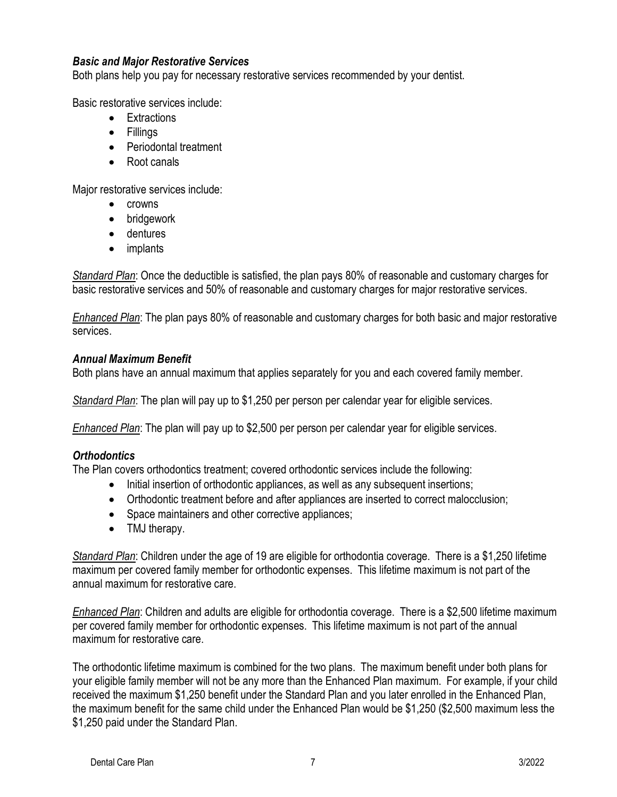# <span id="page-6-0"></span>*Basic and Major Restorative Services*

Both plans help you pay for necessary restorative services recommended by your dentist.

Basic restorative services include:

- Extractions
- Fillings
- Periodontal treatment
- Root canals

Major restorative services include:

- crowns
- bridgework
- dentures
- implants

*Standard Plan*: Once the deductible is satisfied, the plan pays 80% of reasonable and customary charges for basic restorative services and 50% of reasonable and customary charges for major restorative services.

*Enhanced Plan*: The plan pays 80% of reasonable and customary charges for both basic and major restorative services.

# <span id="page-6-1"></span>*Annual Maximum Benefit*

Both plans have an annual maximum that applies separately for you and each covered family member.

*Standard Plan*: The plan will pay up to \$1,250 per person per calendar year for eligible services.

*Enhanced Plan*: The plan will pay up to \$2,500 per person per calendar year for eligible services.

# <span id="page-6-2"></span>*Orthodontics*

The Plan covers orthodontics treatment; covered orthodontic services include the following:

- Initial insertion of orthodontic appliances, as well as any subsequent insertions;
- Orthodontic treatment before and after appliances are inserted to correct malocclusion;
- Space maintainers and other corrective appliances;
- TMJ therapy.

*Standard Plan*: Children under the age of 19 are eligible for orthodontia coverage. There is a \$1,250 lifetime maximum per covered family member for orthodontic expenses. This lifetime maximum is not part of the annual maximum for restorative care.

*Enhanced Plan*: Children and adults are eligible for orthodontia coverage. There is a \$2,500 lifetime maximum per covered family member for orthodontic expenses. This lifetime maximum is not part of the annual maximum for restorative care.

The orthodontic lifetime maximum is combined for the two plans. The maximum benefit under both plans for your eligible family member will not be any more than the Enhanced Plan maximum. For example, if your child received the maximum \$1,250 benefit under the Standard Plan and you later enrolled in the Enhanced Plan, the maximum benefit for the same child under the Enhanced Plan would be \$1,250 (\$2,500 maximum less the \$1,250 paid under the Standard Plan.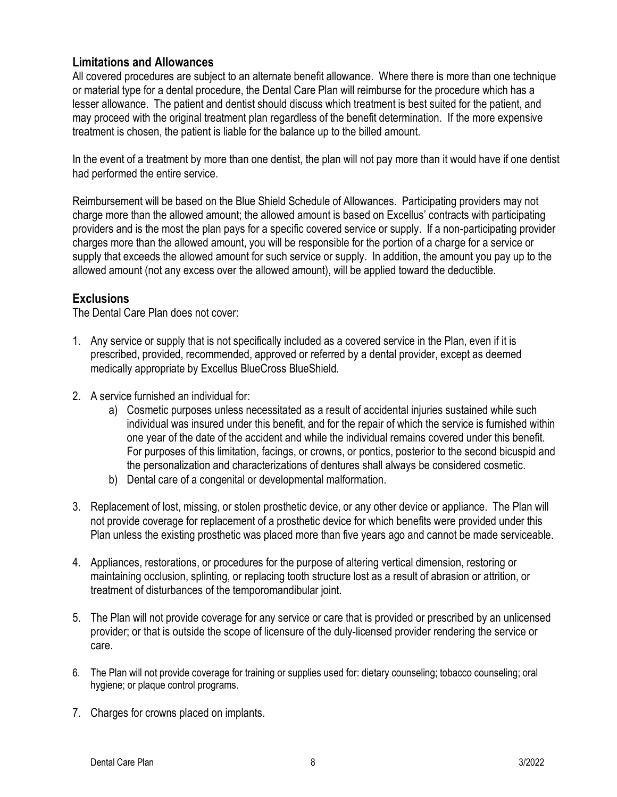# <span id="page-7-0"></span>**Limitations and Allowances**

All covered procedures are subject to an alternate benefit allowance. Where there is more than one technique or material type for a dental procedure, the Dental Care Plan will reimburse for the procedure which has a lesser allowance. The patient and dentist should discuss which treatment is best suited for the patient, and may proceed with the original treatment plan regardless of the benefit determination. If the more expensive treatment is chosen, the patient is liable for the balance up to the billed amount.

In the event of a treatment by more than one dentist, the plan will not pay more than it would have if one dentist had performed the entire service.

Reimbursement will be based on the Blue Shield Schedule of Allowances. Participating providers may not charge more than the allowed amount; the allowed amount is based on Excellus' contracts with participating providers and is the most the plan pays for a specific covered service or supply. If a non-participating provider charges more than the allowed amount, you will be responsible for the portion of a charge for a service or supply that exceeds the allowed amount for such service or supply. In addition, the amount you pay up to the allowed amount (not any excess over the allowed amount), will be applied toward the deductible.

# <span id="page-7-1"></span>**Exclusions**

The Dental Care Plan does not cover:

- 1. Any service or supply that is not specifically included as a covered service in the Plan, even if it is prescribed, provided, recommended, approved or referred by a dental provider, except as deemed medically appropriate by Excellus BlueCross BlueShield.
- 2. A service furnished an individual for:
	- a) Cosmetic purposes unless necessitated as a result of accidental injuries sustained while such individual was insured under this benefit, and for the repair of which the service is furnished within one year of the date of the accident and while the individual remains covered under this benefit. For purposes of this limitation, facings, or crowns, or pontics, posterior to the second bicuspid and the personalization and characterizations of dentures shall always be considered cosmetic.
	- b) Dental care of a congenital or developmental malformation.
- 3. Replacement of lost, missing, or stolen prosthetic device, or any other device or appliance. The Plan will not provide coverage for replacement of a prosthetic device for which benefits were provided under this Plan unless the existing prosthetic was placed more than five years ago and cannot be made serviceable.
- 4. Appliances, restorations, or procedures for the purpose of altering vertical dimension, restoring or maintaining occlusion, splinting, or replacing tooth structure lost as a result of abrasion or attrition, or treatment of disturbances of the temporomandibular joint.
- 5. The Plan will not provide coverage for any service or care that is provided or prescribed by an unlicensed provider; or that is outside the scope of licensure of the duly-licensed provider rendering the service or care.
- 6. The Plan will not provide coverage for training or supplies used for: dietary counseling; tobacco counseling; oral hygiene; or plaque control programs.
- 7. Charges for crowns placed on implants.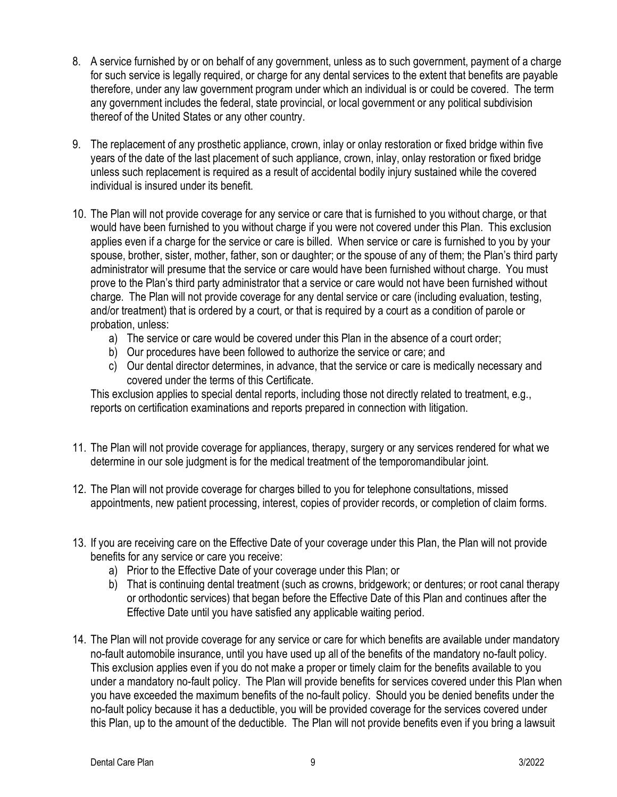- 8. A service furnished by or on behalf of any government, unless as to such government, payment of a charge for such service is legally required, or charge for any dental services to the extent that benefits are payable therefore, under any law government program under which an individual is or could be covered. The term any government includes the federal, state provincial, or local government or any political subdivision thereof of the United States or any other country.
- 9. The replacement of any prosthetic appliance, crown, inlay or onlay restoration or fixed bridge within five years of the date of the last placement of such appliance, crown, inlay, onlay restoration or fixed bridge unless such replacement is required as a result of accidental bodily injury sustained while the covered individual is insured under its benefit.
- 10. The Plan will not provide coverage for any service or care that is furnished to you without charge, or that would have been furnished to you without charge if you were not covered under this Plan. This exclusion applies even if a charge for the service or care is billed. When service or care is furnished to you by your spouse, brother, sister, mother, father, son or daughter; or the spouse of any of them; the Plan's third party administrator will presume that the service or care would have been furnished without charge. You must prove to the Plan's third party administrator that a service or care would not have been furnished without charge. The Plan will not provide coverage for any dental service or care (including evaluation, testing, and/or treatment) that is ordered by a court, or that is required by a court as a condition of parole or probation, unless:
	- a) The service or care would be covered under this Plan in the absence of a court order;
	- b) Our procedures have been followed to authorize the service or care; and
	- c) Our dental director determines, in advance, that the service or care is medically necessary and covered under the terms of this Certificate.

This exclusion applies to special dental reports, including those not directly related to treatment, e.g., reports on certification examinations and reports prepared in connection with litigation.

- 11. The Plan will not provide coverage for appliances, therapy, surgery or any services rendered for what we determine in our sole judgment is for the medical treatment of the temporomandibular joint.
- 12. The Plan will not provide coverage for charges billed to you for telephone consultations, missed appointments, new patient processing, interest, copies of provider records, or completion of claim forms.
- 13. If you are receiving care on the Effective Date of your coverage under this Plan, the Plan will not provide benefits for any service or care you receive:
	- a) Prior to the Effective Date of your coverage under this Plan; or
	- b) That is continuing dental treatment (such as crowns, bridgework; or dentures; or root canal therapy or orthodontic services) that began before the Effective Date of this Plan and continues after the Effective Date until you have satisfied any applicable waiting period.
- 14. The Plan will not provide coverage for any service or care for which benefits are available under mandatory no-fault automobile insurance, until you have used up all of the benefits of the mandatory no-fault policy. This exclusion applies even if you do not make a proper or timely claim for the benefits available to you under a mandatory no-fault policy. The Plan will provide benefits for services covered under this Plan when you have exceeded the maximum benefits of the no-fault policy. Should you be denied benefits under the no-fault policy because it has a deductible, you will be provided coverage for the services covered under this Plan, up to the amount of the deductible. The Plan will not provide benefits even if you bring a lawsuit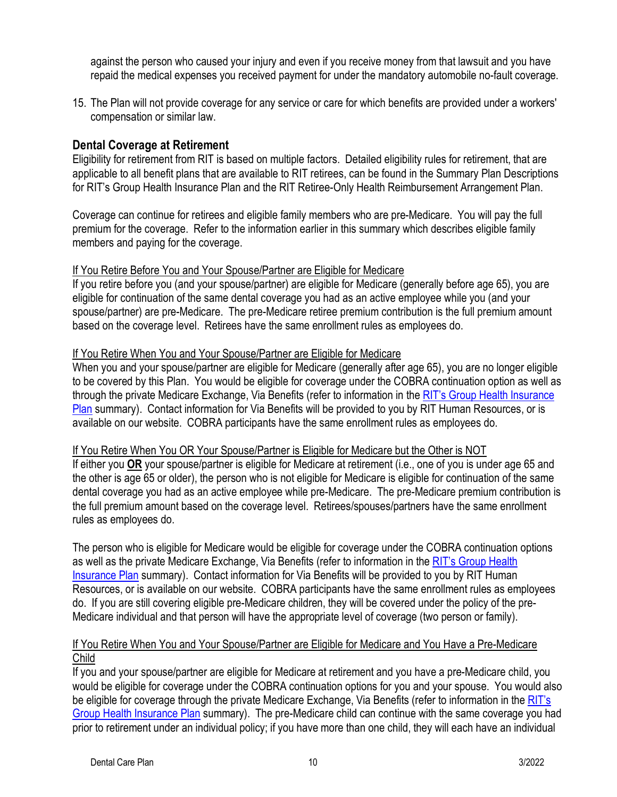against the person who caused your injury and even if you receive money from that lawsuit and you have repaid the medical expenses you received payment for under the mandatory automobile no-fault coverage.

15. The Plan will not provide coverage for any service or care for which benefits are provided under a workers' compensation or similar law.

# <span id="page-9-0"></span>**Dental Coverage at Retirement**

Eligibility for retirement from RIT is based on multiple factors. Detailed eligibility rules for retirement, that are applicable to all benefit plans that are available to RIT retirees, can be found in the Summary Plan Descriptions for RIT's Group Health Insurance Plan and the RIT Retiree-Only Health Reimbursement Arrangement Plan.

Coverage can continue for retirees and eligible family members who are pre-Medicare. You will pay the full premium for the coverage. Refer to the information earlier in this summary which describes eligible family members and paying for the coverage.

# If You Retire Before You and Your Spouse/Partner are Eligible for Medicare

If you retire before you (and your spouse/partner) are eligible for Medicare (generally before age 65), you are eligible for continuation of the same dental coverage you had as an active employee while you (and your spouse/partner) are pre-Medicare. The pre-Medicare retiree premium contribution is the full premium amount based on the coverage level. Retirees have the same enrollment rules as employees do.

#### If You Retire When You and Your Spouse/Partner are Eligible for Medicare

When you and your spouse/partner are eligible for Medicare (generally after age 65), you are no longer eligible to be covered by this Plan. You would be eligible for coverage under the COBRA continuation option as well as through the private Medicare Exchange, Via Benefits (refer to information in the [RIT's Group Health Insurance](https://www.rit.edu/fa/humanresources/sites/rit.edu.fa.humanresources/files/docs/SPD_Medical_and_Rx.pdf)  [Plan](https://www.rit.edu/fa/humanresources/sites/rit.edu.fa.humanresources/files/docs/SPD_Medical_and_Rx.pdf) summary). Contact information for Via Benefits will be provided to you by RIT Human Resources, or is available on our website. COBRA participants have the same enrollment rules as employees do.

#### If You Retire When You OR Your Spouse/Partner is Eligible for Medicare but the Other is NOT

If either you **OR** your spouse/partner is eligible for Medicare at retirement (i.e., one of you is under age 65 and the other is age 65 or older), the person who is not eligible for Medicare is eligible for continuation of the same dental coverage you had as an active employee while pre-Medicare. The pre-Medicare premium contribution is the full premium amount based on the coverage level. Retirees/spouses/partners have the same enrollment rules as employees do.

The person who is eligible for Medicare would be eligible for coverage under the COBRA continuation options as well as the private Medicare Exchange, Via Benefits (refer to information in the [RIT's Group Health](https://www.rit.edu/fa/humanresources/sites/rit.edu.fa.humanresources/files/docs/SPD_Medical_and_Rx.pdf)  [Insurance Plan](https://www.rit.edu/fa/humanresources/sites/rit.edu.fa.humanresources/files/docs/SPD_Medical_and_Rx.pdf) summary). Contact information for Via Benefits will be provided to you by RIT Human Resources, or is available on our website. COBRA participants have the same enrollment rules as employees do. If you are still covering eligible pre-Medicare children, they will be covered under the policy of the pre-Medicare individual and that person will have the appropriate level of coverage (two person or family).

#### If You Retire When You and Your Spouse/Partner are Eligible for Medicare and You Have a Pre-Medicare Child

If you and your spouse/partner are eligible for Medicare at retirement and you have a pre-Medicare child, you would be eligible for coverage under the COBRA continuation options for you and your spouse. You would also be eligible for coverage through the private Medicare Exchange, Via Benefits (refer to information in the [RIT's](https://www.rit.edu/fa/humanresources/sites/rit.edu.fa.humanresources/files/docs/SPD_Medical_and_Rx.pdf)  [Group Health Insurance Plan](https://www.rit.edu/fa/humanresources/sites/rit.edu.fa.humanresources/files/docs/SPD_Medical_and_Rx.pdf) summary). The pre-Medicare child can continue with the same coverage you had prior to retirement under an individual policy; if you have more than one child, they will each have an individual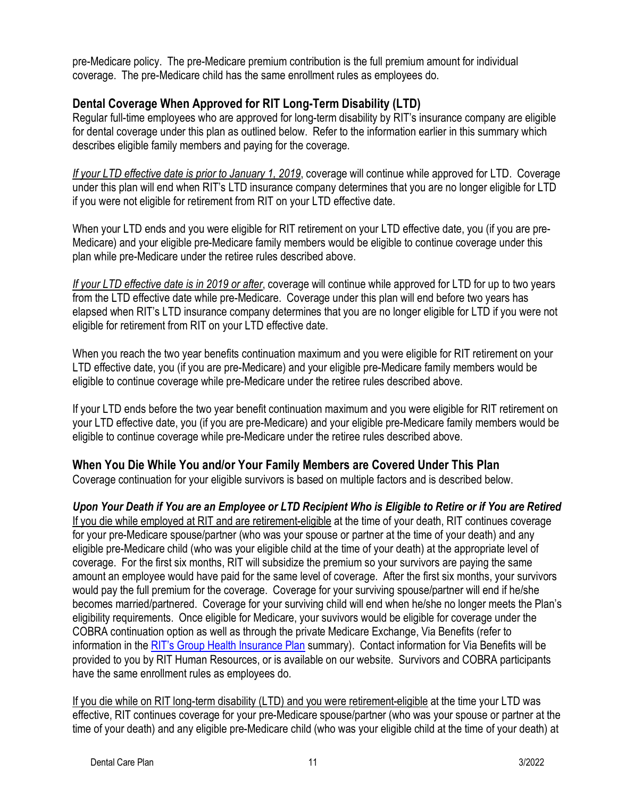pre-Medicare policy. The pre-Medicare premium contribution is the full premium amount for individual coverage. The pre-Medicare child has the same enrollment rules as employees do.

# <span id="page-10-0"></span>**Dental Coverage When Approved for RIT Long-Term Disability (LTD)**

Regular full-time employees who are approved for long-term disability by RIT's insurance company are eligible for dental coverage under this plan as outlined below. Refer to the information earlier in this summary which describes eligible family members and paying for the coverage.

*If your LTD effective date is prior to January 1, 2019*, coverage will continue while approved for LTD. Coverage under this plan will end when RIT's LTD insurance company determines that you are no longer eligible for LTD if you were not eligible for retirement from RIT on your LTD effective date.

When your LTD ends and you were eligible for RIT retirement on your LTD effective date, you (if you are pre-Medicare) and your eligible pre-Medicare family members would be eligible to continue coverage under this plan while pre-Medicare under the retiree rules described above.

*If your LTD effective date is in 2019 or after*, coverage will continue while approved for LTD for up to two years from the LTD effective date while pre-Medicare. Coverage under this plan will end before two years has elapsed when RIT's LTD insurance company determines that you are no longer eligible for LTD if you were not eligible for retirement from RIT on your LTD effective date.

When you reach the two year benefits continuation maximum and you were eligible for RIT retirement on your LTD effective date, you (if you are pre-Medicare) and your eligible pre-Medicare family members would be eligible to continue coverage while pre-Medicare under the retiree rules described above.

If your LTD ends before the two year benefit continuation maximum and you were eligible for RIT retirement on your LTD effective date, you (if you are pre-Medicare) and your eligible pre-Medicare family members would be eligible to continue coverage while pre-Medicare under the retiree rules described above.

# <span id="page-10-1"></span>**When You Die While You and/or Your Family Members are Covered Under This Plan**

Coverage continuation for your eligible survivors is based on multiple factors and is described below.

<span id="page-10-2"></span>*Upon Your Death if You are an Employee or LTD Recipient Who is Eligible to Retire or if You are Retired* If you die while employed at RIT and are retirement-eligible at the time of your death, RIT continues coverage for your pre-Medicare spouse/partner (who was your spouse or partner at the time of your death) and any eligible pre-Medicare child (who was your eligible child at the time of your death) at the appropriate level of coverage. For the first six months, RIT will subsidize the premium so your survivors are paying the same amount an employee would have paid for the same level of coverage. After the first six months, your survivors would pay the full premium for the coverage. Coverage for your surviving spouse/partner will end if he/she becomes married/partnered. Coverage for your surviving child will end when he/she no longer meets the Plan's eligibility requirements. Once eligible for Medicare, your suvivors would be eligible for coverage under the COBRA continuation option as well as through the private Medicare Exchange, Via Benefits (refer to information in the [RIT's Group Health Insurance Plan](https://www.rit.edu/fa/humanresources/sites/rit.edu.fa.humanresources/files/docs/SPD_Medical_and_Rx.pdf) summary). Contact information for Via Benefits will be provided to you by RIT Human Resources, or is available on our website. Survivors and COBRA participants have the same enrollment rules as employees do.

If you die while on RIT long-term disability (LTD) and you were retirement-eligible at the time your LTD was effective, RIT continues coverage for your pre-Medicare spouse/partner (who was your spouse or partner at the time of your death) and any eligible pre-Medicare child (who was your eligible child at the time of your death) at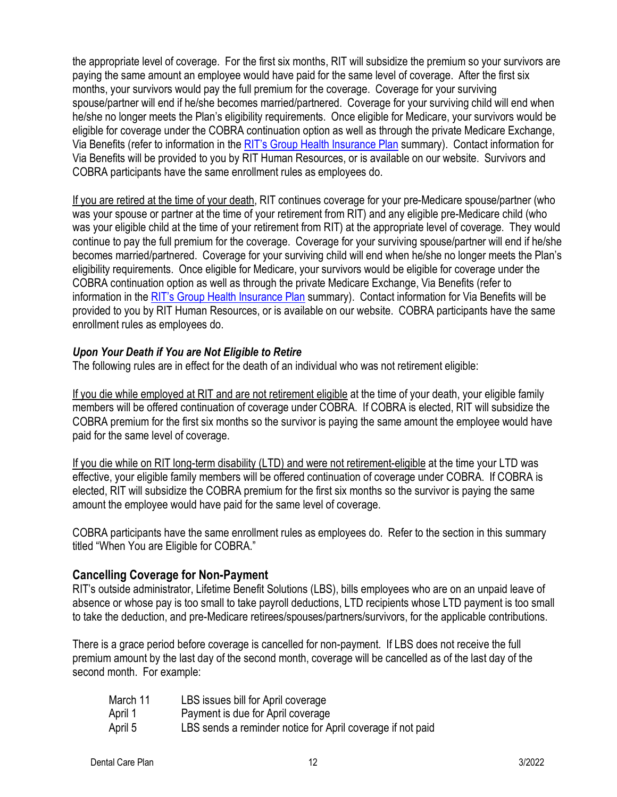the appropriate level of coverage. For the first six months, RIT will subsidize the premium so your survivors are paying the same amount an employee would have paid for the same level of coverage. After the first six months, your survivors would pay the full premium for the coverage. Coverage for your surviving spouse/partner will end if he/she becomes married/partnered. Coverage for your surviving child will end when he/she no longer meets the Plan's eligibility requirements. Once eligible for Medicare, your survivors would be eligible for coverage under the COBRA continuation option as well as through the private Medicare Exchange, Via Benefits (refer to information in the [RIT's Group Health Insurance Plan](https://www.rit.edu/fa/humanresources/sites/rit.edu.fa.humanresources/files/docs/SPD_Medical_and_Rx.pdf) summary). Contact information for Via Benefits will be provided to you by RIT Human Resources, or is available on our website. Survivors and COBRA participants have the same enrollment rules as employees do.

If you are retired at the time of your death, RIT continues coverage for your pre-Medicare spouse/partner (who was your spouse or partner at the time of your retirement from RIT) and any eligible pre-Medicare child (who was your eligible child at the time of your retirement from RIT) at the appropriate level of coverage. They would continue to pay the full premium for the coverage. Coverage for your surviving spouse/partner will end if he/she becomes married/partnered. Coverage for your surviving child will end when he/she no longer meets the Plan's eligibility requirements. Once eligible for Medicare, your survivors would be eligible for coverage under the COBRA continuation option as well as through the private Medicare Exchange, Via Benefits (refer to information in the [RIT's Group Health Insurance Plan](https://www.rit.edu/fa/humanresources/sites/rit.edu.fa.humanresources/files/docs/SPD_Medical_and_Rx.pdf) summary). Contact information for Via Benefits will be provided to you by RIT Human Resources, or is available on our website. COBRA participants have the same enrollment rules as employees do.

# <span id="page-11-0"></span>*Upon Your Death if You are Not Eligible to Retire*

The following rules are in effect for the death of an individual who was not retirement eligible:

If you die while employed at RIT and are not retirement eligible at the time of your death, your eligible family members will be offered continuation of coverage under COBRA. If COBRA is elected, RIT will subsidize the COBRA premium for the first six months so the survivor is paying the same amount the employee would have paid for the same level of coverage.

If you die while on RIT long-term disability (LTD) and were not retirement-eligible at the time your LTD was effective, your eligible family members will be offered continuation of coverage under COBRA. If COBRA is elected, RIT will subsidize the COBRA premium for the first six months so the survivor is paying the same amount the employee would have paid for the same level of coverage.

COBRA participants have the same enrollment rules as employees do. Refer to the section in this summary titled "When You are Eligible for COBRA."

# <span id="page-11-1"></span>**Cancelling Coverage for Non-Payment**

RIT's outside administrator, Lifetime Benefit Solutions (LBS), bills employees who are on an unpaid leave of absence or whose pay is too small to take payroll deductions, LTD recipients whose LTD payment is too small to take the deduction, and pre-Medicare retirees/spouses/partners/survivors, for the applicable contributions.

There is a grace period before coverage is cancelled for non-payment. If LBS does not receive the full premium amount by the last day of the second month, coverage will be cancelled as of the last day of the second month. For example:

| March 11 | LBS issues bill for April coverage                         |
|----------|------------------------------------------------------------|
| April 1  | Payment is due for April coverage                          |
| April 5  | LBS sends a reminder notice for April coverage if not paid |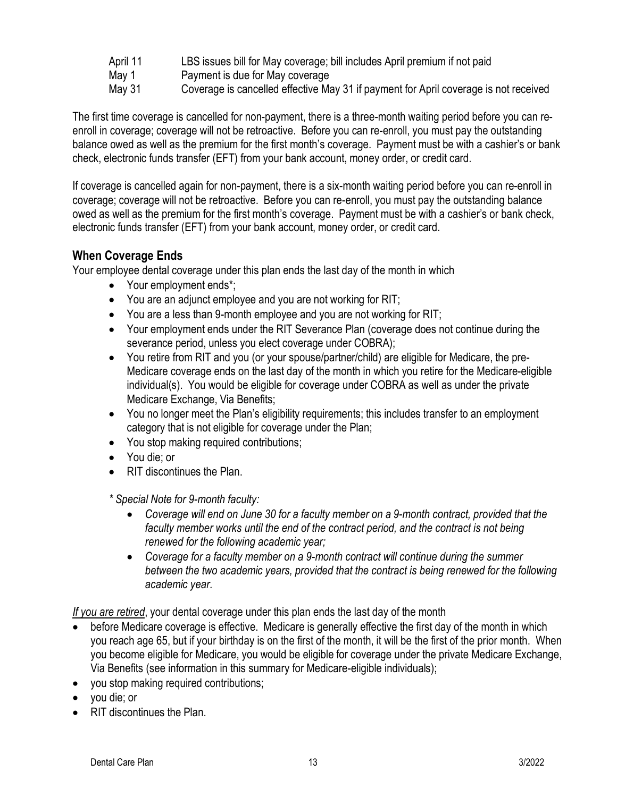- May 1 **Payment is due for May coverage**
- May 31 Coverage is cancelled effective May 31 if payment for April coverage is not received

The first time coverage is cancelled for non-payment, there is a three-month waiting period before you can reenroll in coverage; coverage will not be retroactive. Before you can re-enroll, you must pay the outstanding balance owed as well as the premium for the first month's coverage. Payment must be with a cashier's or bank check, electronic funds transfer (EFT) from your bank account, money order, or credit card.

If coverage is cancelled again for non-payment, there is a six-month waiting period before you can re-enroll in coverage; coverage will not be retroactive. Before you can re-enroll, you must pay the outstanding balance owed as well as the premium for the first month's coverage. Payment must be with a cashier's or bank check, electronic funds transfer (EFT) from your bank account, money order, or credit card.

# <span id="page-12-0"></span>**When Coverage Ends**

Your employee dental coverage under this plan ends the last day of the month in which

- Your employment ends\*;
- You are an adjunct employee and you are not working for RIT;
- You are a less than 9-month employee and you are not working for RIT;
- Your employment ends under the RIT Severance Plan (coverage does not continue during the severance period, unless you elect coverage under COBRA);
- You retire from RIT and you (or your spouse/partner/child) are eligible for Medicare, the pre-Medicare coverage ends on the last day of the month in which you retire for the Medicare-eligible individual(s). You would be eligible for coverage under COBRA as well as under the private Medicare Exchange, Via Benefits;
- You no longer meet the Plan's eligibility requirements; this includes transfer to an employment category that is not eligible for coverage under the Plan;
- You stop making required contributions;
- You die; or
- RIT discontinues the Plan.

*\* Special Note for 9-month faculty:*

- *Coverage will end on June 30 for a faculty member on a 9-month contract, provided that the faculty member works until the end of the contract period, and the contract is not being renewed for the following academic year;*
- *Coverage for a faculty member on a 9-month contract will continue during the summer between the two academic years, provided that the contract is being renewed for the following academic year.*

*If you are retired*, your dental coverage under this plan ends the last day of the month

- before Medicare coverage is effective. Medicare is generally effective the first day of the month in which you reach age 65, but if your birthday is on the first of the month, it will be the first of the prior month. When you become eligible for Medicare, you would be eligible for coverage under the private Medicare Exchange, Via Benefits (see information in this summary for Medicare-eligible individuals);
- you stop making required contributions;
- you die; or
- RIT discontinues the Plan.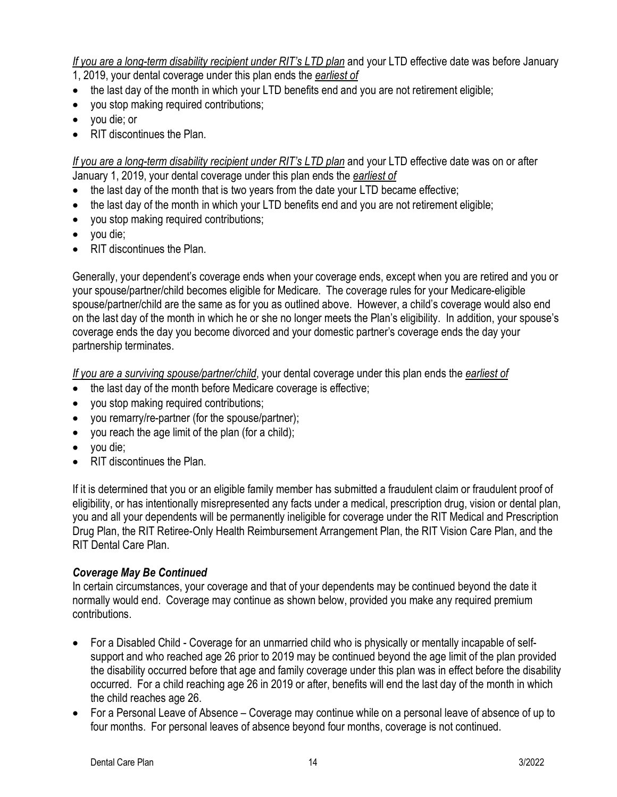*If you are a long-term disability recipient under RIT's LTD plan* and your LTD effective date was before January 1, 2019, your dental coverage under this plan ends the *earliest of*

- the last day of the month in which your LTD benefits end and you are not retirement eligible;
- you stop making required contributions;
- you die; or
- RIT discontinues the Plan.

*If you are a long-term disability recipient under RIT's LTD plan* and your LTD effective date was on or after January 1, 2019, your dental coverage under this plan ends the *earliest of*

- the last day of the month that is two years from the date your LTD became effective;
- the last day of the month in which your LTD benefits end and you are not retirement eligible;
- you stop making required contributions;
- you die;
- RIT discontinues the Plan.

Generally, your dependent's coverage ends when your coverage ends, except when you are retired and you or your spouse/partner/child becomes eligible for Medicare. The coverage rules for your Medicare-eligible spouse/partner/child are the same as for you as outlined above. However, a child's coverage would also end on the last day of the month in which he or she no longer meets the Plan's eligibility. In addition, your spouse's coverage ends the day you become divorced and your domestic partner's coverage ends the day your partnership terminates.

*If you are a surviving spouse/partner/child*, your dental coverage under this plan ends the *earliest of*

- the last day of the month before Medicare coverage is effective;
- you stop making required contributions;
- you remarry/re-partner (for the spouse/partner);
- you reach the age limit of the plan (for a child);
- you die;
- RIT discontinues the Plan

If it is determined that you or an eligible family member has submitted a fraudulent claim or fraudulent proof of eligibility, or has intentionally misrepresented any facts under a medical, prescription drug, vision or dental plan, you and all your dependents will be permanently ineligible for coverage under the RIT Medical and Prescription Drug Plan, the RIT Retiree-Only Health Reimbursement Arrangement Plan, the RIT Vision Care Plan, and the RIT Dental Care Plan.

# <span id="page-13-0"></span>*Coverage May Be Continued*

In certain circumstances, your coverage and that of your dependents may be continued beyond the date it normally would end. Coverage may continue as shown below, provided you make any required premium contributions.

- For a Disabled Child Coverage for an unmarried child who is physically or mentally incapable of selfsupport and who reached age 26 prior to 2019 may be continued beyond the age limit of the plan provided the disability occurred before that age and family coverage under this plan was in effect before the disability occurred. For a child reaching age 26 in 2019 or after, benefits will end the last day of the month in which the child reaches age 26.
- For a Personal Leave of Absence Coverage may continue while on a personal leave of absence of up to four months. For personal leaves of absence beyond four months, coverage is not continued.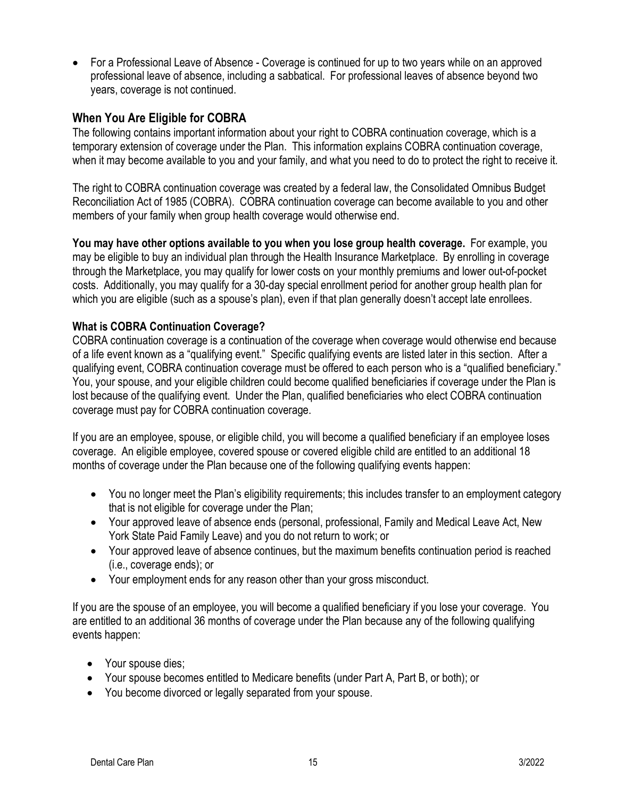• For a Professional Leave of Absence - Coverage is continued for up to two years while on an approved professional leave of absence, including a sabbatical. For professional leaves of absence beyond two years, coverage is not continued.

# <span id="page-14-0"></span>**When You Are Eligible for COBRA**

The following contains important information about your right to COBRA continuation coverage, which is a temporary extension of coverage under the Plan. This information explains COBRA continuation coverage, when it may become available to you and your family, and what you need to do to protect the right to receive it.

The right to COBRA continuation coverage was created by a federal law, the Consolidated Omnibus Budget Reconciliation Act of 1985 (COBRA). COBRA continuation coverage can become available to you and other members of your family when group health coverage would otherwise end.

**You may have other options available to you when you lose group health coverage.** For example, you may be eligible to buy an individual plan through the Health Insurance Marketplace. By enrolling in coverage through the Marketplace, you may qualify for lower costs on your monthly premiums and lower out-of-pocket costs. Additionally, you may qualify for a 30-day special enrollment period for another group health plan for which you are eligible (such as a spouse's plan), even if that plan generally doesn't accept late enrollees.

# **What is COBRA Continuation Coverage?**

COBRA continuation coverage is a continuation of the coverage when coverage would otherwise end because of a life event known as a "qualifying event." Specific qualifying events are listed later in this section. After a qualifying event, COBRA continuation coverage must be offered to each person who is a "qualified beneficiary." You, your spouse, and your eligible children could become qualified beneficiaries if coverage under the Plan is lost because of the qualifying event. Under the Plan, qualified beneficiaries who elect COBRA continuation coverage must pay for COBRA continuation coverage.

If you are an employee, spouse, or eligible child, you will become a qualified beneficiary if an employee loses coverage. An eligible employee, covered spouse or covered eligible child are entitled to an additional 18 months of coverage under the Plan because one of the following qualifying events happen:

- You no longer meet the Plan's eligibility requirements; this includes transfer to an employment category that is not eligible for coverage under the Plan;
- Your approved leave of absence ends (personal, professional, Family and Medical Leave Act, New York State Paid Family Leave) and you do not return to work; or
- Your approved leave of absence continues, but the maximum benefits continuation period is reached (i.e., coverage ends); or
- Your employment ends for any reason other than your gross misconduct.

If you are the spouse of an employee, you will become a qualified beneficiary if you lose your coverage. You are entitled to an additional 36 months of coverage under the Plan because any of the following qualifying events happen:

- Your spouse dies:
- Your spouse becomes entitled to Medicare benefits (under Part A, Part B, or both); or
- You become divorced or legally separated from your spouse.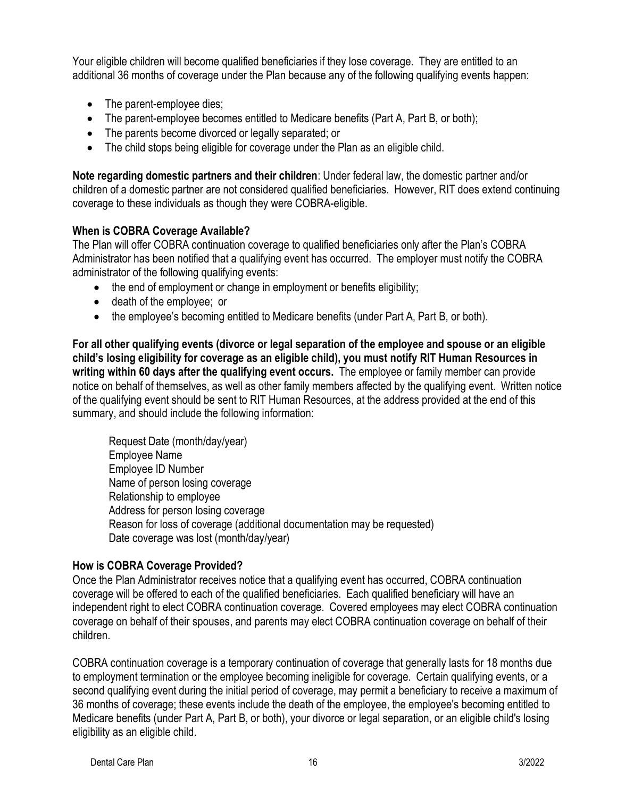Your eligible children will become qualified beneficiaries if they lose coverage. They are entitled to an additional 36 months of coverage under the Plan because any of the following qualifying events happen:

- The parent-employee dies;
- The parent-employee becomes entitled to Medicare benefits (Part A, Part B, or both);
- The parents become divorced or legally separated; or
- The child stops being eligible for coverage under the Plan as an eligible child.

**Note regarding domestic partners and their children**: Under federal law, the domestic partner and/or children of a domestic partner are not considered qualified beneficiaries. However, RIT does extend continuing coverage to these individuals as though they were COBRA-eligible.

# **When is COBRA Coverage Available?**

The Plan will offer COBRA continuation coverage to qualified beneficiaries only after the Plan's COBRA Administrator has been notified that a qualifying event has occurred. The employer must notify the COBRA administrator of the following qualifying events:

- the end of employment or change in employment or benefits eligibility;
- death of the employee; or
- the employee's becoming entitled to Medicare benefits (under Part A, Part B, or both).

**For all other qualifying events (divorce or legal separation of the employee and spouse or an eligible child's losing eligibility for coverage as an eligible child), you must notify RIT Human Resources in writing within 60 days after the qualifying event occurs.** The employee or family member can provide notice on behalf of themselves, as well as other family members affected by the qualifying event. Written notice of the qualifying event should be sent to RIT Human Resources, at the address provided at the end of this summary, and should include the following information:

Request Date (month/day/year) Employee Name Employee ID Number Name of person losing coverage Relationship to employee Address for person losing coverage Reason for loss of coverage (additional documentation may be requested) Date coverage was lost (month/day/year)

# **How is COBRA Coverage Provided?**

Once the Plan Administrator receives notice that a qualifying event has occurred, COBRA continuation coverage will be offered to each of the qualified beneficiaries. Each qualified beneficiary will have an independent right to elect COBRA continuation coverage. Covered employees may elect COBRA continuation coverage on behalf of their spouses, and parents may elect COBRA continuation coverage on behalf of their children.

COBRA continuation coverage is a temporary continuation of coverage that generally lasts for 18 months due to employment termination or the employee becoming ineligible for coverage. Certain qualifying events, or a second qualifying event during the initial period of coverage, may permit a beneficiary to receive a maximum of 36 months of coverage; these events include the death of the employee, the employee's becoming entitled to Medicare benefits (under Part A, Part B, or both), your divorce or legal separation, or an eligible child's losing eligibility as an eligible child.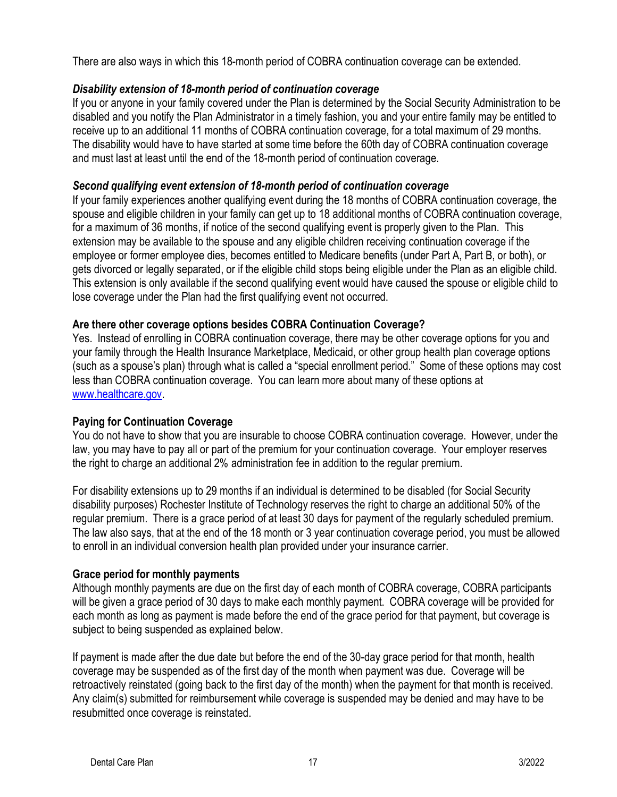There are also ways in which this 18-month period of COBRA continuation coverage can be extended.

#### *Disability extension of 18-month period of continuation coverage*

If you or anyone in your family covered under the Plan is determined by the Social Security Administration to be disabled and you notify the Plan Administrator in a timely fashion, you and your entire family may be entitled to receive up to an additional 11 months of COBRA continuation coverage, for a total maximum of 29 months. The disability would have to have started at some time before the 60th day of COBRA continuation coverage and must last at least until the end of the 18-month period of continuation coverage.

#### *Second qualifying event extension of 18-month period of continuation coverage*

If your family experiences another qualifying event during the 18 months of COBRA continuation coverage, the spouse and eligible children in your family can get up to 18 additional months of COBRA continuation coverage, for a maximum of 36 months, if notice of the second qualifying event is properly given to the Plan. This extension may be available to the spouse and any eligible children receiving continuation coverage if the employee or former employee dies, becomes entitled to Medicare benefits (under Part A, Part B, or both), or gets divorced or legally separated, or if the eligible child stops being eligible under the Plan as an eligible child. This extension is only available if the second qualifying event would have caused the spouse or eligible child to lose coverage under the Plan had the first qualifying event not occurred.

#### **Are there other coverage options besides COBRA Continuation Coverage?**

Yes. Instead of enrolling in COBRA continuation coverage, there may be other coverage options for you and your family through the Health Insurance Marketplace, Medicaid, or other group health plan coverage options (such as a spouse's plan) through what is called a "special enrollment period." Some of these options may cost less than COBRA continuation coverage. You can learn more about many of these options at [www.healthcare.gov.](http://www.healthcare.gov/)

# **Paying for Continuation Coverage**

You do not have to show that you are insurable to choose COBRA continuation coverage. However, under the law, you may have to pay all or part of the premium for your continuation coverage. Your employer reserves the right to charge an additional 2% administration fee in addition to the regular premium.

For disability extensions up to 29 months if an individual is determined to be disabled (for Social Security disability purposes) Rochester Institute of Technology reserves the right to charge an additional 50% of the regular premium. There is a grace period of at least 30 days for payment of the regularly scheduled premium. The law also says, that at the end of the 18 month or 3 year continuation coverage period, you must be allowed to enroll in an individual conversion health plan provided under your insurance carrier.

#### **Grace period for monthly payments**

Although monthly payments are due on the first day of each month of COBRA coverage, COBRA participants will be given a grace period of 30 days to make each monthly payment. COBRA coverage will be provided for each month as long as payment is made before the end of the grace period for that payment, but coverage is subject to being suspended as explained below.

If payment is made after the due date but before the end of the 30-day grace period for that month, health coverage may be suspended as of the first day of the month when payment was due. Coverage will be retroactively reinstated (going back to the first day of the month) when the payment for that month is received. Any claim(s) submitted for reimbursement while coverage is suspended may be denied and may have to be resubmitted once coverage is reinstated.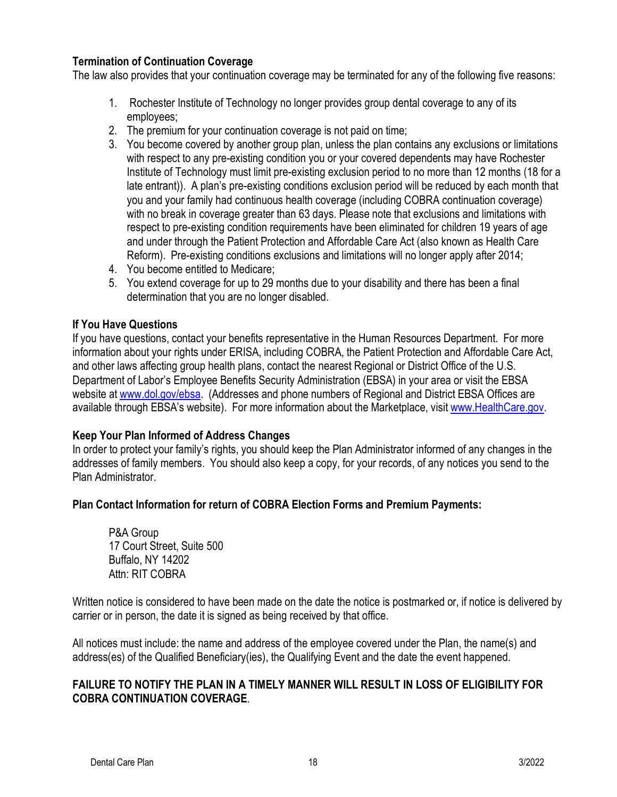# **Termination of Continuation Coverage**

The law also provides that your continuation coverage may be terminated for any of the following five reasons:

- 1. Rochester Institute of Technology no longer provides group dental coverage to any of its employees;
- 2. The premium for your continuation coverage is not paid on time;
- 3. You become covered by another group plan, unless the plan contains any exclusions or limitations with respect to any pre-existing condition you or your covered dependents may have Rochester Institute of Technology must limit pre-existing exclusion period to no more than 12 months (18 for a late entrant)). A plan's pre-existing conditions exclusion period will be reduced by each month that you and your family had continuous health coverage (including COBRA continuation coverage) with no break in coverage greater than 63 days. Please note that exclusions and limitations with respect to pre-existing condition requirements have been eliminated for children 19 years of age and under through the Patient Protection and Affordable Care Act (also known as Health Care Reform). Pre-existing conditions exclusions and limitations will no longer apply after 2014;
- 4. You become entitled to Medicare;
- 5. You extend coverage for up to 29 months due to your disability and there has been a final determination that you are no longer disabled.

# **If You Have Questions**

If you have questions, contact your benefits representative in the Human Resources Department. For more information about your rights under ERISA, including COBRA, the Patient Protection and Affordable Care Act, and other laws affecting group health plans, contact the nearest Regional or District Office of the U.S. Department of Labor's Employee Benefits Security Administration (EBSA) in your area or visit the EBSA website at [www.dol.gov/ebsa.](http://www.dol.gov/ebsa) (Addresses and phone numbers of Regional and District EBSA Offices are available through EBSA's website). For more information about the Marketplace, visit [www.HealthCare.gov.](http://www.healthcare.gov/)

# **Keep Your Plan Informed of Address Changes**

In order to protect your family's rights, you should keep the Plan Administrator informed of any changes in the addresses of family members.You should also keep a copy, for your records, of any notices you send to the Plan Administrator.

# **Plan Contact Information for return of COBRA Election Forms and Premium Payments:**

P&A Group 17 Court Street, Suite 500 Buffalo, NY 14202 Attn: RIT COBRA

Written notice is considered to have been made on the date the notice is postmarked or, if notice is delivered by carrier or in person, the date it is signed as being received by that office.

All notices must include: the name and address of the employee covered under the Plan, the name(s) and address(es) of the Qualified Beneficiary(ies), the Qualifying Event and the date the event happened.

# **FAILURE TO NOTIFY THE PLAN IN A TIMELY MANNER WILL RESULT IN LOSS OF ELIGIBILITY FOR COBRA CONTINUATION COVERAGE**.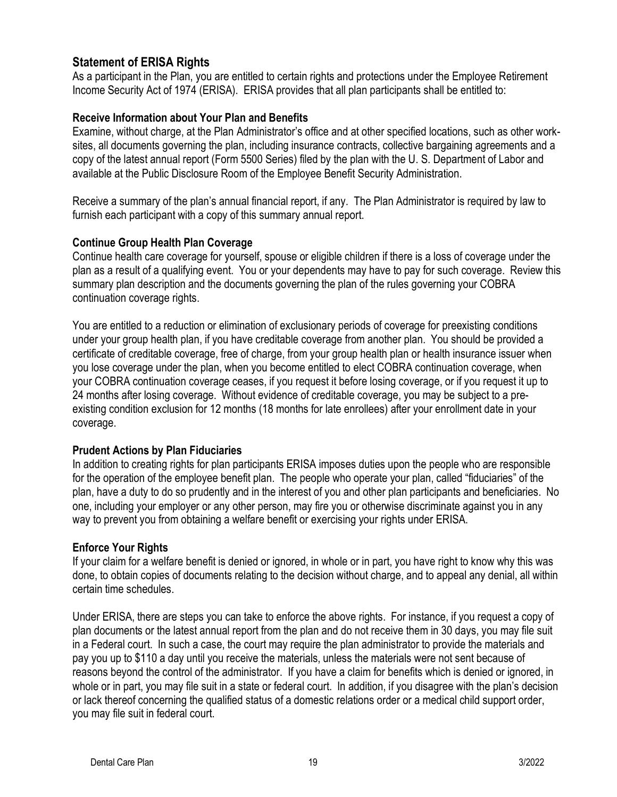# <span id="page-18-0"></span>**Statement of ERISA Rights**

As a participant in the Plan, you are entitled to certain rights and protections under the Employee Retirement Income Security Act of 1974 (ERISA). ERISA provides that all plan participants shall be entitled to:

#### **Receive Information about Your Plan and Benefits**

Examine, without charge, at the Plan Administrator's office and at other specified locations, such as other worksites, all documents governing the plan, including insurance contracts, collective bargaining agreements and a copy of the latest annual report (Form 5500 Series) filed by the plan with the U. S. Department of Labor and available at the Public Disclosure Room of the Employee Benefit Security Administration.

Receive a summary of the plan's annual financial report, if any. The Plan Administrator is required by law to furnish each participant with a copy of this summary annual report.

#### **Continue Group Health Plan Coverage**

Continue health care coverage for yourself, spouse or eligible children if there is a loss of coverage under the plan as a result of a qualifying event. You or your dependents may have to pay for such coverage. Review this summary plan description and the documents governing the plan of the rules governing your COBRA continuation coverage rights.

You are entitled to a reduction or elimination of exclusionary periods of coverage for preexisting conditions under your group health plan, if you have creditable coverage from another plan. You should be provided a certificate of creditable coverage, free of charge, from your group health plan or health insurance issuer when you lose coverage under the plan, when you become entitled to elect COBRA continuation coverage, when your COBRA continuation coverage ceases, if you request it before losing coverage, or if you request it up to 24 months after losing coverage. Without evidence of creditable coverage, you may be subject to a preexisting condition exclusion for 12 months (18 months for late enrollees) after your enrollment date in your coverage.

# **Prudent Actions by Plan Fiduciaries**

In addition to creating rights for plan participants ERISA imposes duties upon the people who are responsible for the operation of the employee benefit plan. The people who operate your plan, called "fiduciaries" of the plan, have a duty to do so prudently and in the interest of you and other plan participants and beneficiaries. No one, including your employer or any other person, may fire you or otherwise discriminate against you in any way to prevent you from obtaining a welfare benefit or exercising your rights under ERISA.

#### **Enforce Your Rights**

If your claim for a welfare benefit is denied or ignored, in whole or in part, you have right to know why this was done, to obtain copies of documents relating to the decision without charge, and to appeal any denial, all within certain time schedules.

Under ERISA, there are steps you can take to enforce the above rights. For instance, if you request a copy of plan documents or the latest annual report from the plan and do not receive them in 30 days, you may file suit in a Federal court. In such a case, the court may require the plan administrator to provide the materials and pay you up to \$110 a day until you receive the materials, unless the materials were not sent because of reasons beyond the control of the administrator. If you have a claim for benefits which is denied or ignored, in whole or in part, you may file suit in a state or federal court. In addition, if you disagree with the plan's decision or lack thereof concerning the qualified status of a domestic relations order or a medical child support order, you may file suit in federal court.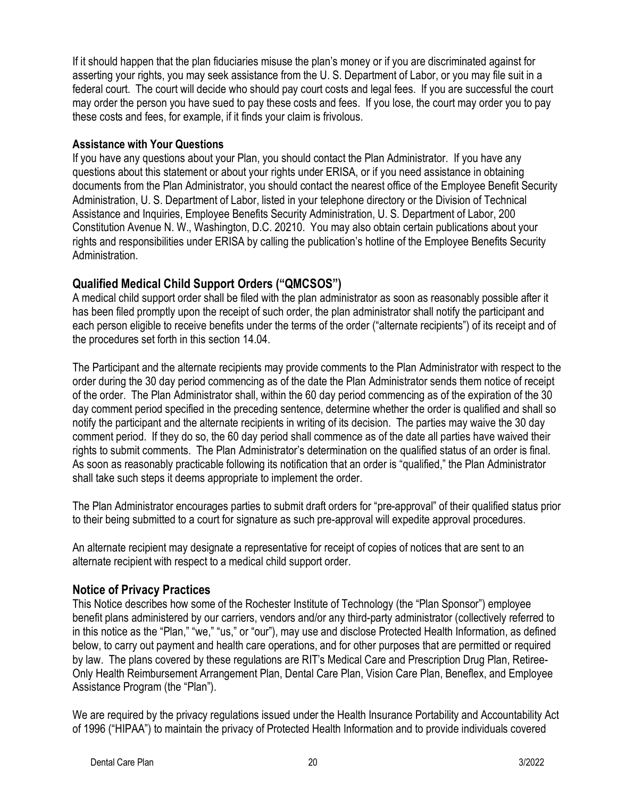If it should happen that the plan fiduciaries misuse the plan's money or if you are discriminated against for asserting your rights, you may seek assistance from the U. S. Department of Labor, or you may file suit in a federal court. The court will decide who should pay court costs and legal fees. If you are successful the court may order the person you have sued to pay these costs and fees. If you lose, the court may order you to pay these costs and fees, for example, if it finds your claim is frivolous.

# **Assistance with Your Questions**

If you have any questions about your Plan, you should contact the Plan Administrator. If you have any questions about this statement or about your rights under ERISA, or if you need assistance in obtaining documents from the Plan Administrator, you should contact the nearest office of the Employee Benefit Security Administration, U. S. Department of Labor, listed in your telephone directory or the Division of Technical Assistance and Inquiries, Employee Benefits Security Administration, U. S. Department of Labor, 200 Constitution Avenue N. W., Washington, D.C. 20210. You may also obtain certain publications about your rights and responsibilities under ERISA by calling the publication's hotline of the Employee Benefits Security Administration.

# <span id="page-19-0"></span>**Qualified Medical Child Support Orders ("QMCSOS")**

A medical child support order shall be filed with the plan administrator as soon as reasonably possible after it has been filed promptly upon the receipt of such order, the plan administrator shall notify the participant and each person eligible to receive benefits under the terms of the order ("alternate recipients") of its receipt and of the procedures set forth in this section 14.04.

The Participant and the alternate recipients may provide comments to the Plan Administrator with respect to the order during the 30 day period commencing as of the date the Plan Administrator sends them notice of receipt of the order. The Plan Administrator shall, within the 60 day period commencing as of the expiration of the 30 day comment period specified in the preceding sentence, determine whether the order is qualified and shall so notify the participant and the alternate recipients in writing of its decision. The parties may waive the 30 day comment period. If they do so, the 60 day period shall commence as of the date all parties have waived their rights to submit comments. The Plan Administrator's determination on the qualified status of an order is final. As soon as reasonably practicable following its notification that an order is "qualified," the Plan Administrator shall take such steps it deems appropriate to implement the order.

The Plan Administrator encourages parties to submit draft orders for "pre-approval" of their qualified status prior to their being submitted to a court for signature as such pre-approval will expedite approval procedures.

An alternate recipient may designate a representative for receipt of copies of notices that are sent to an alternate recipient with respect to a medical child support order.

# <span id="page-19-1"></span>**Notice of Privacy Practices**

This Notice describes how some of the Rochester Institute of Technology (the "Plan Sponsor") employee benefit plans administered by our carriers, vendors and/or any third-party administrator (collectively referred to in this notice as the "Plan," "we," "us," or "our"), may use and disclose Protected Health Information, as defined below, to carry out payment and health care operations, and for other purposes that are permitted or required by law. The plans covered by these regulations are RIT's Medical Care and Prescription Drug Plan, Retiree-Only Health Reimbursement Arrangement Plan, Dental Care Plan, Vision Care Plan, Beneflex, and Employee Assistance Program (the "Plan").

We are required by the privacy regulations issued under the Health Insurance Portability and Accountability Act of 1996 ("HIPAA") to maintain the privacy of Protected Health Information and to provide individuals covered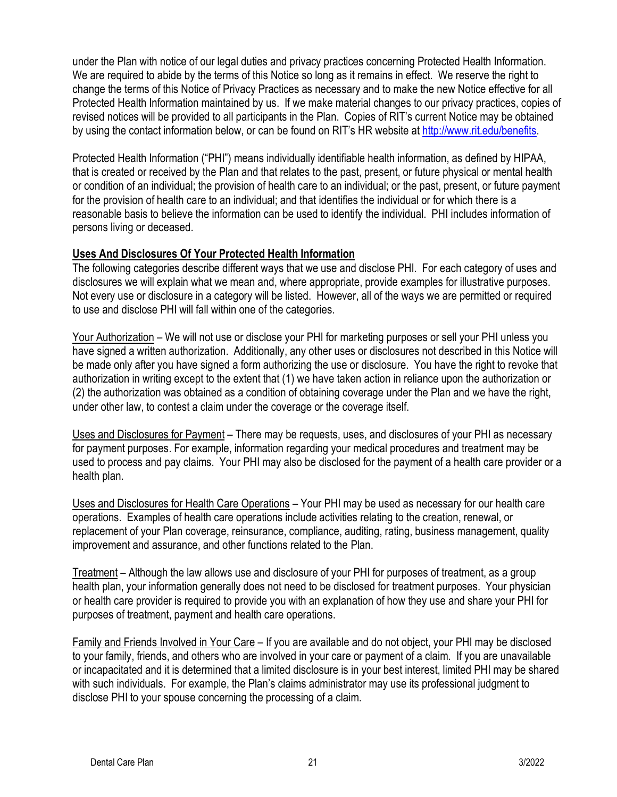under the Plan with notice of our legal duties and privacy practices concerning Protected Health Information. We are required to abide by the terms of this Notice so long as it remains in effect. We reserve the right to change the terms of this Notice of Privacy Practices as necessary and to make the new Notice effective for all Protected Health Information maintained by us. If we make material changes to our privacy practices, copies of revised notices will be provided to all participants in the Plan. Copies of RIT's current Notice may be obtained by using the contact information below, or can be found on RIT's HR website at [http://www.rit.edu/benefits.](http://www.rit.edu/benefits)

Protected Health Information ("PHI") means individually identifiable health information, as defined by HIPAA, that is created or received by the Plan and that relates to the past, present, or future physical or mental health or condition of an individual; the provision of health care to an individual; or the past, present, or future payment for the provision of health care to an individual; and that identifies the individual or for which there is a reasonable basis to believe the information can be used to identify the individual. PHI includes information of persons living or deceased.

# **Uses And Disclosures Of Your Protected Health Information**

The following categories describe different ways that we use and disclose PHI. For each category of uses and disclosures we will explain what we mean and, where appropriate, provide examples for illustrative purposes. Not every use or disclosure in a category will be listed. However, all of the ways we are permitted or required to use and disclose PHI will fall within one of the categories.

Your Authorization – We will not use or disclose your PHI for marketing purposes or sell your PHI unless you have signed a written authorization. Additionally, any other uses or disclosures not described in this Notice will be made only after you have signed a form authorizing the use or disclosure. You have the right to revoke that authorization in writing except to the extent that (1) we have taken action in reliance upon the authorization or (2) the authorization was obtained as a condition of obtaining coverage under the Plan and we have the right, under other law, to contest a claim under the coverage or the coverage itself.

Uses and Disclosures for Payment – There may be requests, uses, and disclosures of your PHI as necessary for payment purposes. For example, information regarding your medical procedures and treatment may be used to process and pay claims. Your PHI may also be disclosed for the payment of a health care provider or a health plan.

Uses and Disclosures for Health Care Operations – Your PHI may be used as necessary for our health care operations. Examples of health care operations include activities relating to the creation, renewal, or replacement of your Plan coverage, reinsurance, compliance, auditing, rating, business management, quality improvement and assurance, and other functions related to the Plan.

Treatment – Although the law allows use and disclosure of your PHI for purposes of treatment, as a group health plan, your information generally does not need to be disclosed for treatment purposes. Your physician or health care provider is required to provide you with an explanation of how they use and share your PHI for purposes of treatment, payment and health care operations.

Family and Friends Involved in Your Care – If you are available and do not object, your PHI may be disclosed to your family, friends, and others who are involved in your care or payment of a claim. If you are unavailable or incapacitated and it is determined that a limited disclosure is in your best interest, limited PHI may be shared with such individuals. For example, the Plan's claims administrator may use its professional judgment to disclose PHI to your spouse concerning the processing of a claim.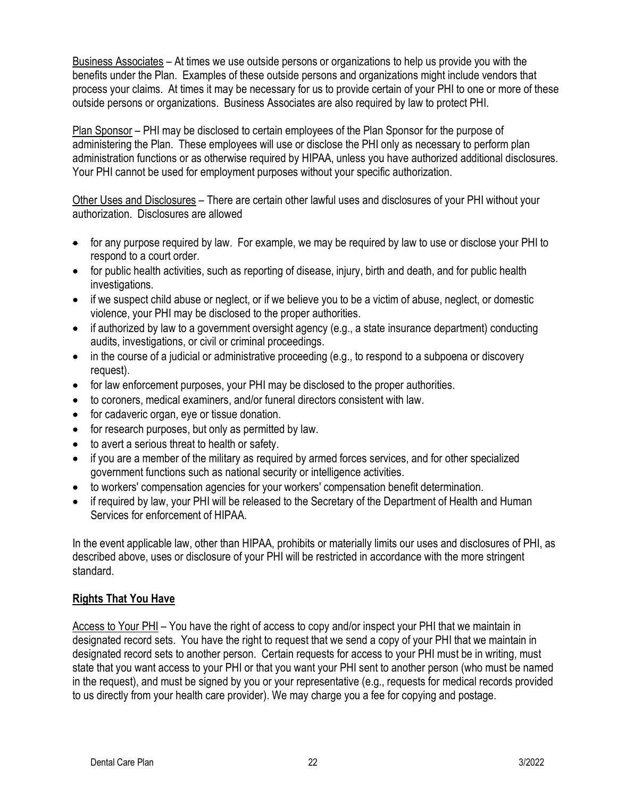Business Associates – At times we use outside persons or organizations to help us provide you with the benefits under the Plan. Examples of these outside persons and organizations might include vendors that process your claims. At times it may be necessary for us to provide certain of your PHI to one or more of these outside persons or organizations. Business Associates are also required by law to protect PHI.

Plan Sponsor – PHI may be disclosed to certain employees of the Plan Sponsor for the purpose of administering the Plan. These employees will use or disclose the PHI only as necessary to perform plan administration functions or as otherwise required by HIPAA, unless you have authorized additional disclosures. Your PHI cannot be used for employment purposes without your specific authorization.

Other Uses and Disclosures – There are certain other lawful uses and disclosures of your PHI without your authorization. Disclosures are allowed

- for any purpose required by law. For example, we may be required by law to use or disclose your PHI to respond to a court order.
- for public health activities, such as reporting of disease, injury, birth and death, and for public health investigations.
- if we suspect child abuse or neglect, or if we believe you to be a victim of abuse, neglect, or domestic violence, your PHI may be disclosed to the proper authorities.
- if authorized by law to a government oversight agency (e.g., a state insurance department) conducting audits, investigations, or civil or criminal proceedings.
- in the course of a judicial or administrative proceeding (e.g., to respond to a subpoena or discovery request).
- for law enforcement purposes, your PHI may be disclosed to the proper authorities.
- to coroners, medical examiners, and/or funeral directors consistent with law.
- for cadaveric organ, eye or tissue donation.
- for research purposes, but only as permitted by law.
- to avert a serious threat to health or safety.
- if you are a member of the military as required by armed forces services, and for other specialized government functions such as national security or intelligence activities.
- to workers' compensation agencies for your workers' compensation benefit determination.
- if required by law, your PHI will be released to the Secretary of the Department of Health and Human Services for enforcement of HIPAA.

In the event applicable law, other than HIPAA, prohibits or materially limits our uses and disclosures of PHI, as described above, uses or disclosure of your PHI will be restricted in accordance with the more stringent standard.

# **Rights That You Have**

Access to Your PHI – You have the right of access to copy and/or inspect your PHI that we maintain in designated record sets. You have the right to request that we send a copy of your PHI that we maintain in designated record sets to another person. Certain requests for access to your PHI must be in writing, must state that you want access to your PHI or that you want your PHI sent to another person (who must be named in the request), and must be signed by you or your representative (e.g., requests for medical records provided to us directly from your health care provider). We may charge you a fee for copying and postage.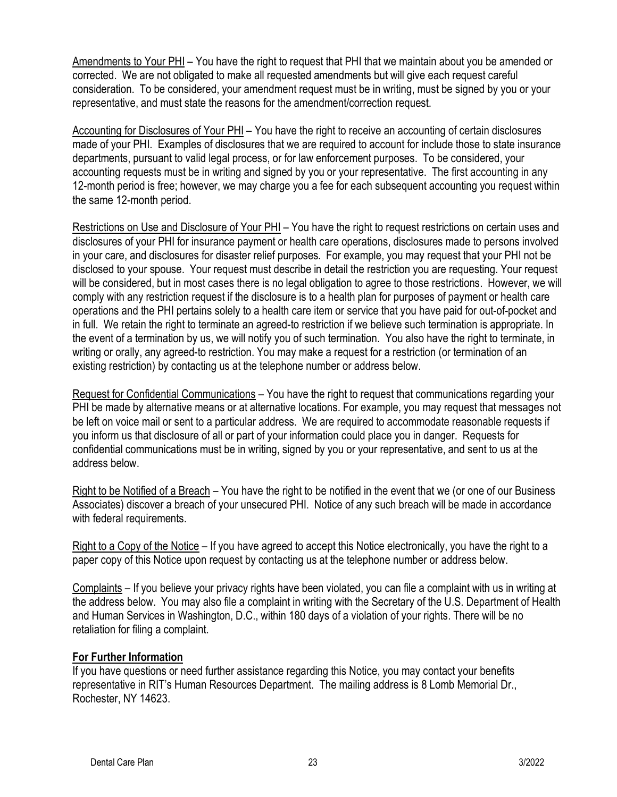Amendments to Your PHI – You have the right to request that PHI that we maintain about you be amended or corrected. We are not obligated to make all requested amendments but will give each request careful consideration. To be considered, your amendment request must be in writing, must be signed by you or your representative, and must state the reasons for the amendment/correction request.

Accounting for Disclosures of Your PHI – You have the right to receive an accounting of certain disclosures made of your PHI. Examples of disclosures that we are required to account for include those to state insurance departments, pursuant to valid legal process, or for law enforcement purposes. To be considered, your accounting requests must be in writing and signed by you or your representative. The first accounting in any 12-month period is free; however, we may charge you a fee for each subsequent accounting you request within the same 12-month period.

Restrictions on Use and Disclosure of Your PHI – You have the right to request restrictions on certain uses and disclosures of your PHI for insurance payment or health care operations, disclosures made to persons involved in your care, and disclosures for disaster relief purposes. For example, you may request that your PHI not be disclosed to your spouse. Your request must describe in detail the restriction you are requesting. Your request will be considered, but in most cases there is no legal obligation to agree to those restrictions. However, we will comply with any restriction request if the disclosure is to a health plan for purposes of payment or health care operations and the PHI pertains solely to a health care item or service that you have paid for out-of-pocket and in full. We retain the right to terminate an agreed-to restriction if we believe such termination is appropriate. In the event of a termination by us, we will notify you of such termination. You also have the right to terminate, in writing or orally, any agreed-to restriction. You may make a request for a restriction (or termination of an existing restriction) by contacting us at the telephone number or address below.

Request for Confidential Communications – You have the right to request that communications regarding your PHI be made by alternative means or at alternative locations. For example, you may request that messages not be left on voice mail or sent to a particular address. We are required to accommodate reasonable requests if you inform us that disclosure of all or part of your information could place you in danger. Requests for confidential communications must be in writing, signed by you or your representative, and sent to us at the address below.

Right to be Notified of a Breach – You have the right to be notified in the event that we (or one of our Business Associates) discover a breach of your unsecured PHI. Notice of any such breach will be made in accordance with federal requirements.

Right to a Copy of the Notice – If you have agreed to accept this Notice electronically, you have the right to a paper copy of this Notice upon request by contacting us at the telephone number or address below.

Complaints – If you believe your privacy rights have been violated, you can file a complaint with us in writing at the address below. You may also file a complaint in writing with the Secretary of the U.S. Department of Health and Human Services in Washington, D.C., within 180 days of a violation of your rights. There will be no retaliation for filing a complaint.

# **For Further Information**

If you have questions or need further assistance regarding this Notice, you may contact your benefits representative in RIT's Human Resources Department. The mailing address is 8 Lomb Memorial Dr., Rochester, NY 14623.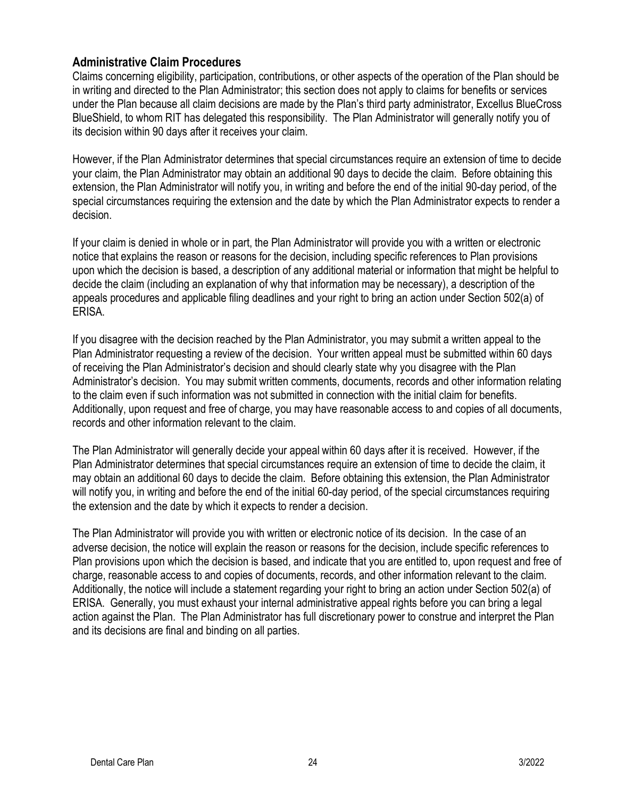# <span id="page-23-0"></span>**Administrative Claim Procedures**

Claims concerning eligibility, participation, contributions, or other aspects of the operation of the Plan should be in writing and directed to the Plan Administrator; this section does not apply to claims for benefits or services under the Plan because all claim decisions are made by the Plan's third party administrator, Excellus BlueCross BlueShield, to whom RIT has delegated this responsibility. The Plan Administrator will generally notify you of its decision within 90 days after it receives your claim.

However, if the Plan Administrator determines that special circumstances require an extension of time to decide your claim, the Plan Administrator may obtain an additional 90 days to decide the claim. Before obtaining this extension, the Plan Administrator will notify you, in writing and before the end of the initial 90-day period, of the special circumstances requiring the extension and the date by which the Plan Administrator expects to render a decision.

If your claim is denied in whole or in part, the Plan Administrator will provide you with a written or electronic notice that explains the reason or reasons for the decision, including specific references to Plan provisions upon which the decision is based, a description of any additional material or information that might be helpful to decide the claim (including an explanation of why that information may be necessary), a description of the appeals procedures and applicable filing deadlines and your right to bring an action under Section 502(a) of ERISA.

If you disagree with the decision reached by the Plan Administrator, you may submit a written appeal to the Plan Administrator requesting a review of the decision. Your written appeal must be submitted within 60 days of receiving the Plan Administrator's decision and should clearly state why you disagree with the Plan Administrator's decision. You may submit written comments, documents, records and other information relating to the claim even if such information was not submitted in connection with the initial claim for benefits. Additionally, upon request and free of charge, you may have reasonable access to and copies of all documents, records and other information relevant to the claim.

The Plan Administrator will generally decide your appeal within 60 days after it is received. However, if the Plan Administrator determines that special circumstances require an extension of time to decide the claim, it may obtain an additional 60 days to decide the claim. Before obtaining this extension, the Plan Administrator will notify you, in writing and before the end of the initial 60-day period, of the special circumstances requiring the extension and the date by which it expects to render a decision.

The Plan Administrator will provide you with written or electronic notice of its decision. In the case of an adverse decision, the notice will explain the reason or reasons for the decision, include specific references to Plan provisions upon which the decision is based, and indicate that you are entitled to, upon request and free of charge, reasonable access to and copies of documents, records, and other information relevant to the claim. Additionally, the notice will include a statement regarding your right to bring an action under Section 502(a) of ERISA. Generally, you must exhaust your internal administrative appeal rights before you can bring a legal action against the Plan. The Plan Administrator has full discretionary power to construe and interpret the Plan and its decisions are final and binding on all parties.